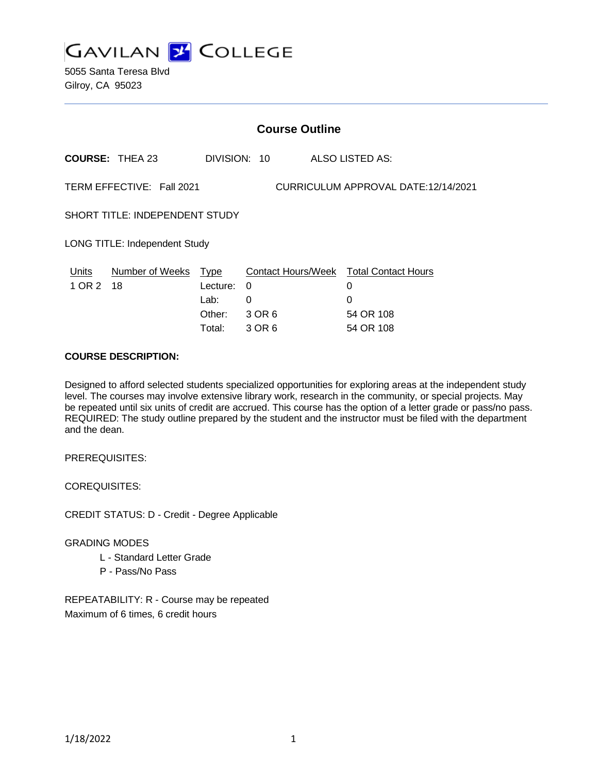

5055 Santa Teresa Blvd Gilroy, CA 95023

| <b>Course Outline</b>                                            |                         |                                                     |                            |  |                                                                                          |
|------------------------------------------------------------------|-------------------------|-----------------------------------------------------|----------------------------|--|------------------------------------------------------------------------------------------|
| <b>COURSE: THEA 23</b>                                           |                         |                                                     | DIVISION: 10               |  | ALSO LISTED AS:                                                                          |
| TERM EFFECTIVE: Fall 2021<br>CURRICULUM APPROVAL DATE:12/14/2021 |                         |                                                     |                            |  |                                                                                          |
| SHORT TITLE: INDEPENDENT STUDY                                   |                         |                                                     |                            |  |                                                                                          |
| <b>LONG TITLE: Independent Study</b>                             |                         |                                                     |                            |  |                                                                                          |
| Units<br>1 OR 2                                                  | Number of Weeks<br>- 18 | <u>Type</u><br>Lecture:<br>Lab:<br>Other:<br>Total: | 0<br>0<br>3 OR 6<br>3 OR 6 |  | <b>Contact Hours/Week Total Contact Hours</b><br>0<br>$\Omega$<br>54 OR 108<br>54 OR 108 |

### **COURSE DESCRIPTION:**

Designed to afford selected students specialized opportunities for exploring areas at the independent study level. The courses may involve extensive library work, research in the community, or special projects. May be repeated until six units of credit are accrued. This course has the option of a letter grade or pass/no pass. REQUIRED: The study outline prepared by the student and the instructor must be filed with the department and the dean.

PREREQUISITES:

COREQUISITES:

CREDIT STATUS: D - Credit - Degree Applicable

#### GRADING MODES

- L Standard Letter Grade
- P Pass/No Pass

REPEATABILITY: R - Course may be repeated Maximum of 6 times, 6 credit hours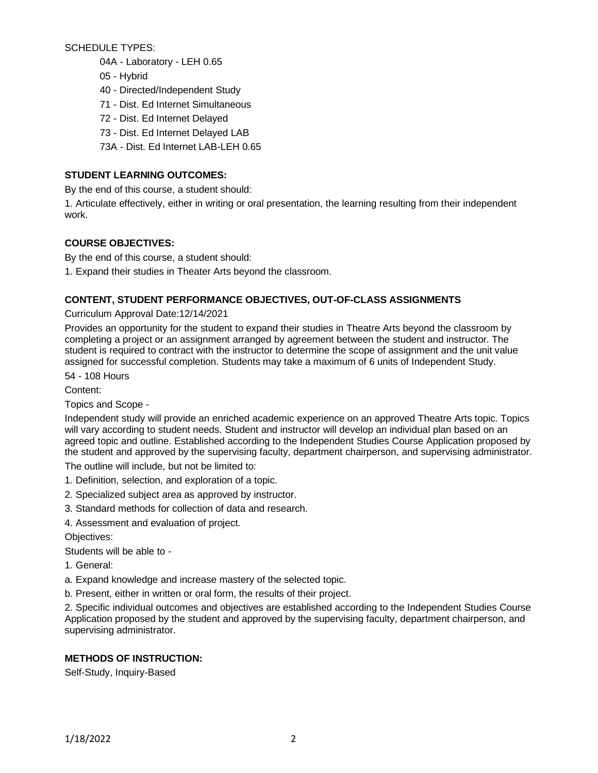SCHEDULE TYPES:

- 04A Laboratory LEH 0.65
- 05 Hybrid
- 40 Directed/Independent Study
- 71 Dist. Ed Internet Simultaneous
- 72 Dist. Ed Internet Delayed
- 73 Dist. Ed Internet Delayed LAB
- 73A Dist. Ed Internet LAB-LEH 0.65

# **STUDENT LEARNING OUTCOMES:**

By the end of this course, a student should:

1. Articulate effectively, either in writing or oral presentation, the learning resulting from their independent work.

### **COURSE OBJECTIVES:**

By the end of this course, a student should:

1. Expand their studies in Theater Arts beyond the classroom.

### **CONTENT, STUDENT PERFORMANCE OBJECTIVES, OUT-OF-CLASS ASSIGNMENTS**

Curriculum Approval Date:12/14/2021

Provides an opportunity for the student to expand their studies in Theatre Arts beyond the classroom by completing a project or an assignment arranged by agreement between the student and instructor. The student is required to contract with the instructor to determine the scope of assignment and the unit value assigned for successful completion. Students may take a maximum of 6 units of Independent Study.

54 - 108 Hours

Content:

Topics and Scope -

Independent study will provide an enriched academic experience on an approved Theatre Arts topic. Topics will vary according to student needs. Student and instructor will develop an individual plan based on an agreed topic and outline. Established according to the Independent Studies Course Application proposed by the student and approved by the supervising faculty, department chairperson, and supervising administrator.

The outline will include, but not be limited to:

- 1. Definition, selection, and exploration of a topic.
- 2. Specialized subject area as approved by instructor.
- 3. Standard methods for collection of data and research.
- 4. Assessment and evaluation of project.

Objectives:

Students will be able to -

- 1. General:
- a. Expand knowledge and increase mastery of the selected topic.
- b. Present, either in written or oral form, the results of their project.

2. Specific individual outcomes and objectives are established according to the Independent Studies Course Application proposed by the student and approved by the supervising faculty, department chairperson, and supervising administrator.

### **METHODS OF INSTRUCTION:**

Self-Study, Inquiry-Based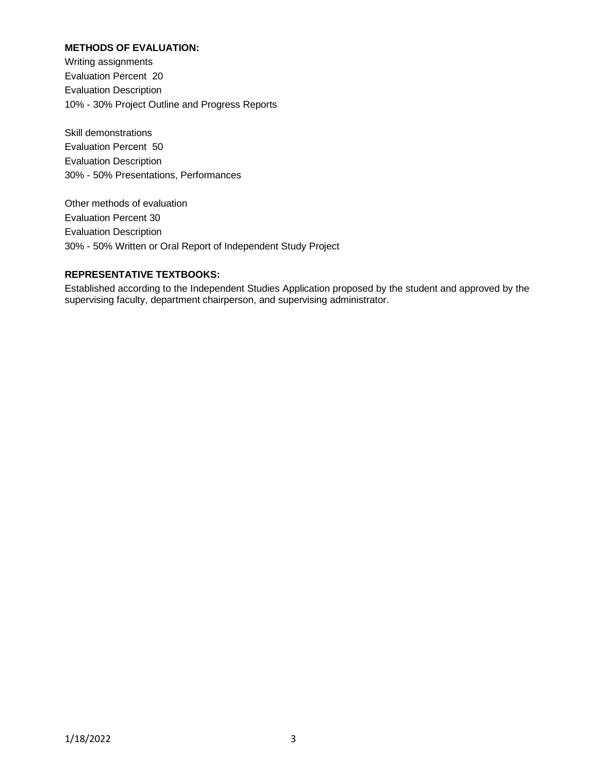## **METHODS OF EVALUATION:**

Writing assignments Evaluation Percent 20 Evaluation Description 10% - 30% Project Outline and Progress Reports

Skill demonstrations Evaluation Percent 50 Evaluation Description 30% - 50% Presentations, Performances

Other methods of evaluation Evaluation Percent 30 Evaluation Description 30% - 50% Written or Oral Report of Independent Study Project

# **REPRESENTATIVE TEXTBOOKS:**

Established according to the Independent Studies Application proposed by the student and approved by the supervising faculty, department chairperson, and supervising administrator.